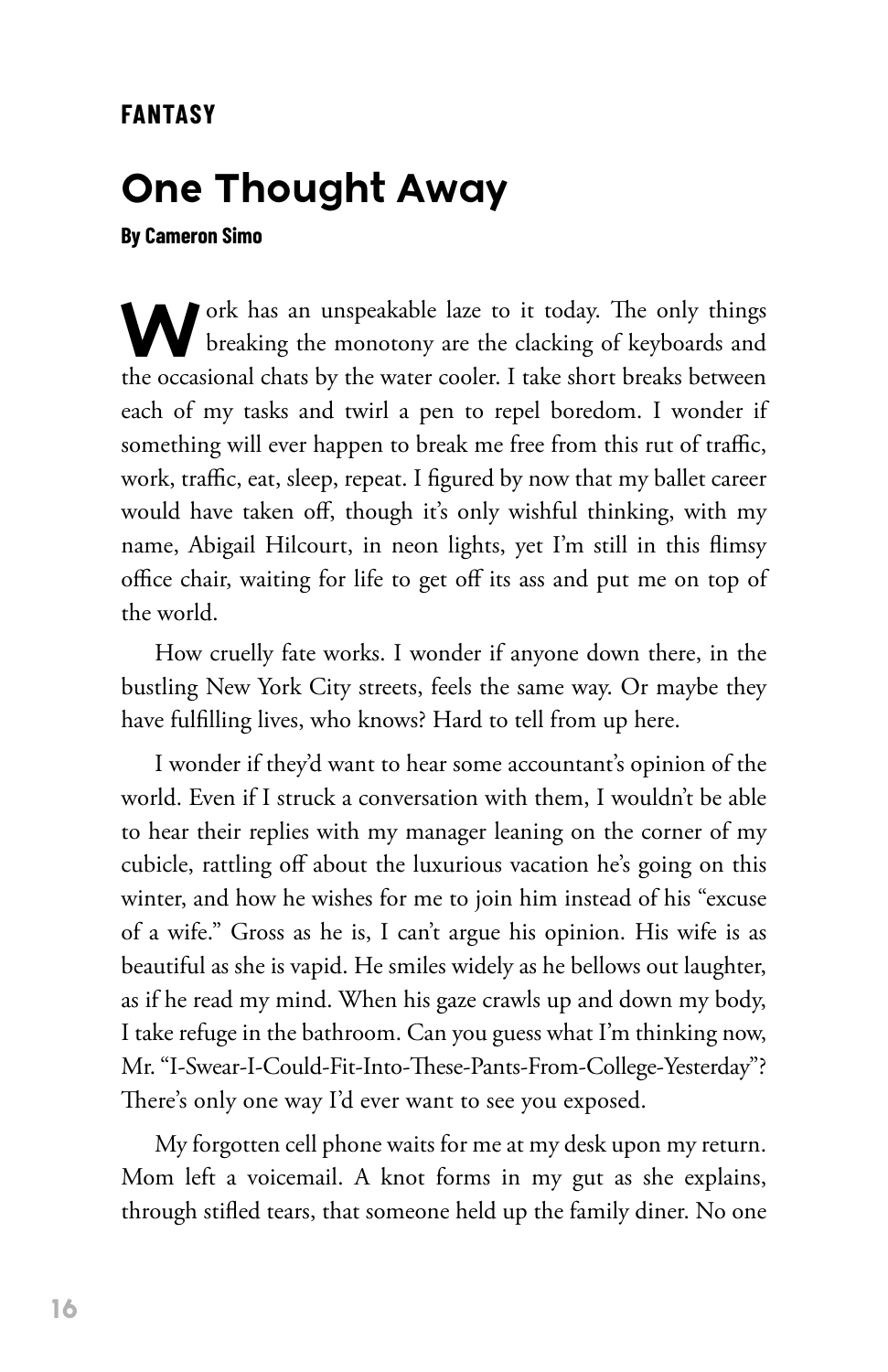## **One Thought Away**

**By Cameron Simo**

Work has an unspeakable laze to it today. The only things breaking the monotony are the clacking of keyboards and the occasional chats by the water cooler. I take short breaks between each of my tasks and twirl a pen to repel boredom. I wonder if something will ever happen to break me free from this rut of traffic, work, traffic, eat, sleep, repeat. I figured by now that my ballet career would have taken off, though it's only wishful thinking, with my name, Abigail Hilcourt, in neon lights, yet I'm still in this flimsy office chair, waiting for life to get off its ass and put me on top of the world.

How cruelly fate works. I wonder if anyone down there, in the bustling New York City streets, feels the same way. Or maybe they have fulfilling lives, who knows? Hard to tell from up here.

I wonder if they'd want to hear some accountant's opinion of the world. Even if I struck a conversation with them, I wouldn't be able to hear their replies with my manager leaning on the corner of my cubicle, rattling off about the luxurious vacation he's going on this winter, and how he wishes for me to join him instead of his "excuse of a wife." Gross as he is, I can't argue his opinion. His wife is as beautiful as she is vapid. He smiles widely as he bellows out laughter, as if he read my mind. When his gaze crawls up and down my body, I take refuge in the bathroom. Can you guess what I'm thinking now, Mr. "I-Swear-I-Could-Fit-Into-These-Pants-From-College-Yesterday"? There's only one way I'd ever want to see you exposed.

My forgotten cell phone waits for me at my desk upon my return. Mom left a voicemail. A knot forms in my gut as she explains, through stifled tears, that someone held up the family diner. No one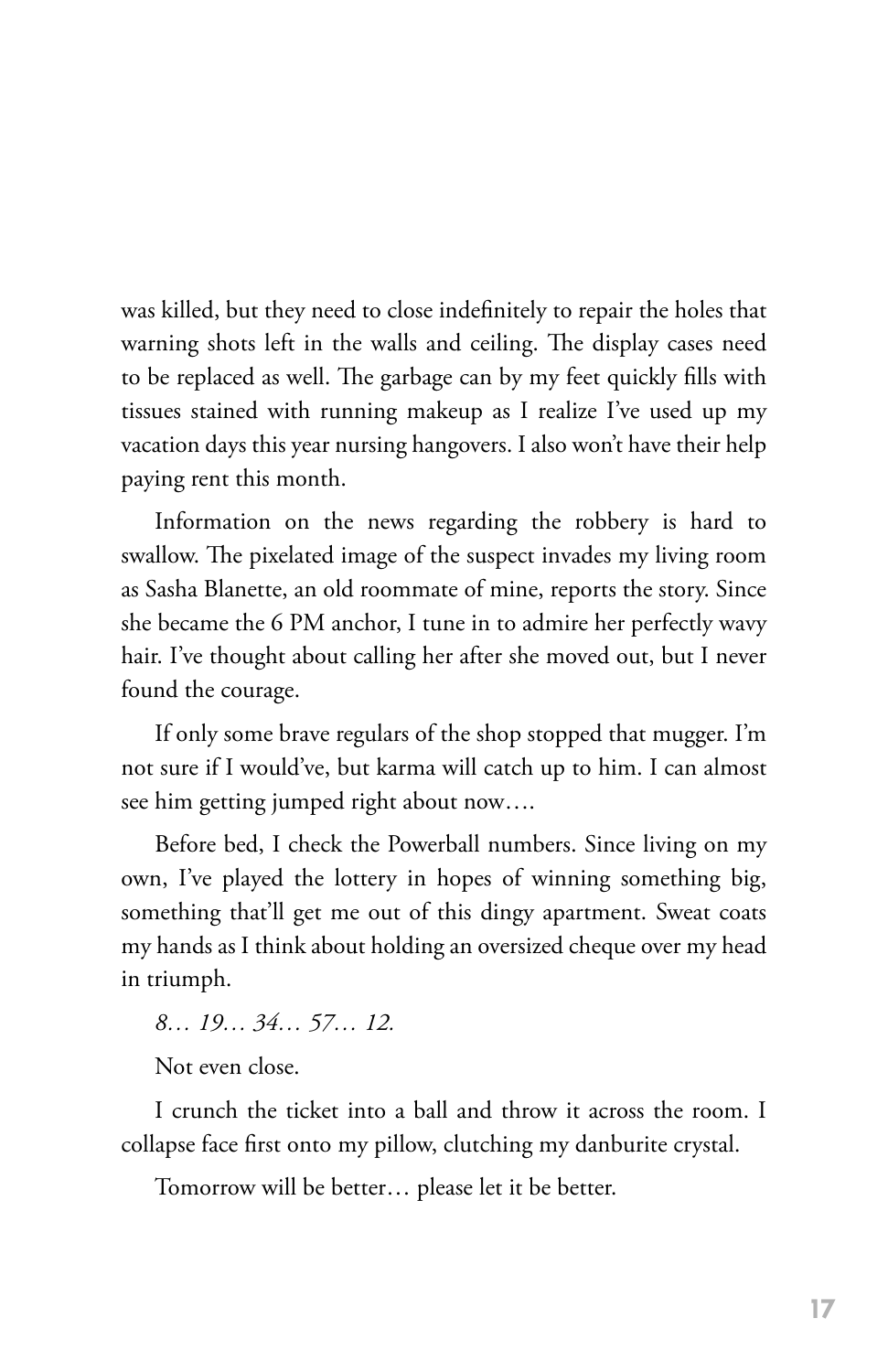was killed, but they need to close indefinitely to repair the holes that warning shots left in the walls and ceiling. The display cases need to be replaced as well. The garbage can by my feet quickly fills with tissues stained with running makeup as I realize I've used up my vacation days this year nursing hangovers. I also won't have their help paying rent this month.

Information on the news regarding the robbery is hard to swallow. The pixelated image of the suspect invades my living room as Sasha Blanette, an old roommate of mine, reports the story. Since she became the 6 PM anchor, I tune in to admire her perfectly wavy hair. I've thought about calling her after she moved out, but I never found the courage.

If only some brave regulars of the shop stopped that mugger. I'm not sure if I would've, but karma will catch up to him. I can almost see him getting jumped right about now….

Before bed, I check the Powerball numbers. Since living on my own, I've played the lottery in hopes of winning something big, something that'll get me out of this dingy apartment. Sweat coats my hands as I think about holding an oversized cheque over my head in triumph.

*8… 19… 34… 57… 12.*

Not even close.

I crunch the ticket into a ball and throw it across the room. I collapse face first onto my pillow, clutching my danburite crystal.

Tomorrow will be better… please let it be better.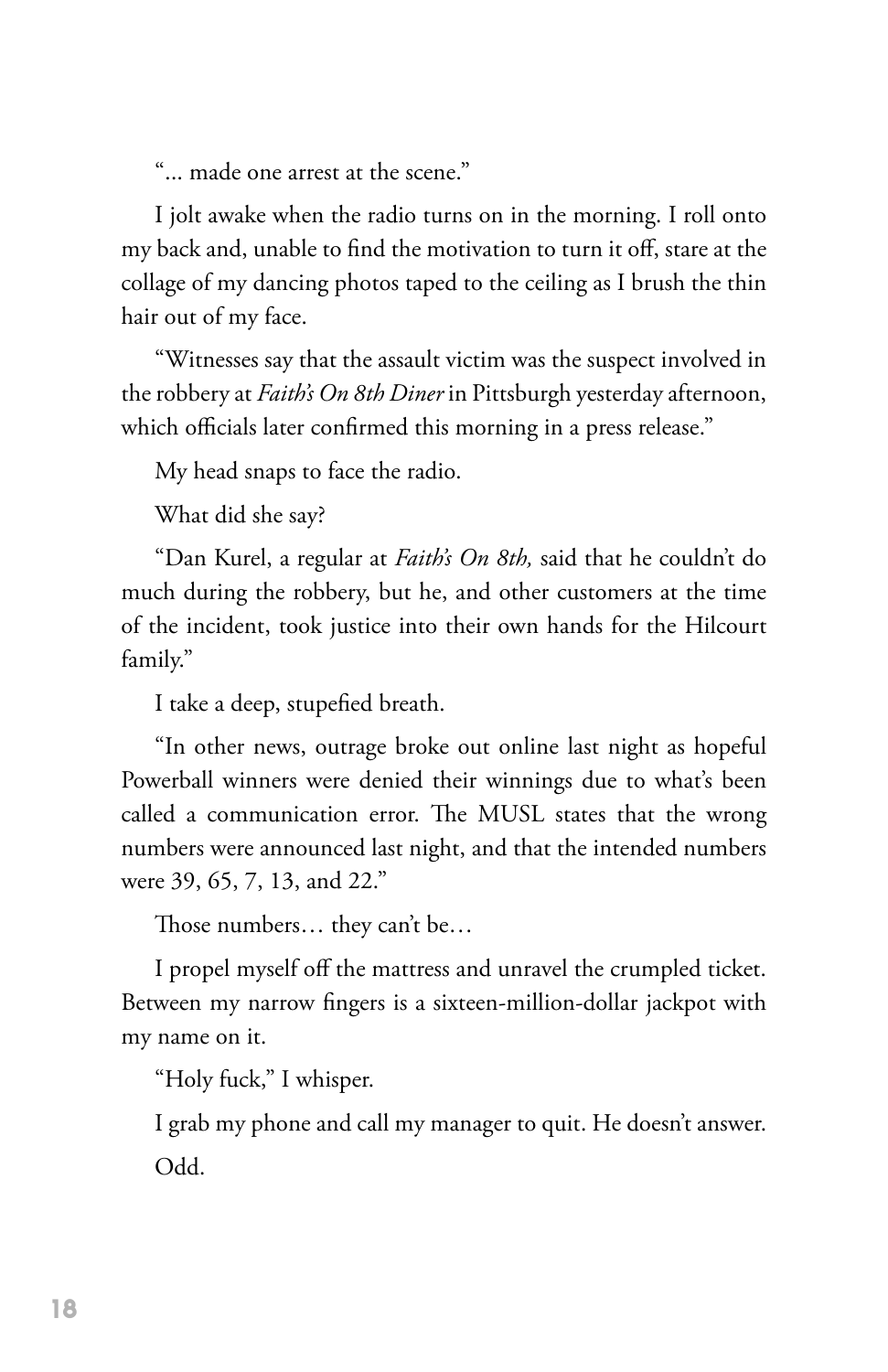"... made one arrest at the scene."

I jolt awake when the radio turns on in the morning. I roll onto my back and, unable to find the motivation to turn it off, stare at the collage of my dancing photos taped to the ceiling as I brush the thin hair out of my face.

"Witnesses say that the assault victim was the suspect involved in the robbery at *Faith's On 8th Diner* in Pittsburgh yesterday afternoon, which officials later confirmed this morning in a press release."

My head snaps to face the radio.

What did she say?

"Dan Kurel, a regular at *Faith's On 8th,* said that he couldn't do much during the robbery, but he, and other customers at the time of the incident, took justice into their own hands for the Hilcourt family."

I take a deep, stupefied breath.

"In other news, outrage broke out online last night as hopeful Powerball winners were denied their winnings due to what's been called a communication error. The MUSL states that the wrong numbers were announced last night, and that the intended numbers were 39, 65, 7, 13, and 22."

Those numbers… they can't be…

I propel myself off the mattress and unravel the crumpled ticket. Between my narrow fingers is a sixteen-million-dollar jackpot with my name on it.

"Holy fuck," I whisper.

I grab my phone and call my manager to quit. He doesn't answer. Odd.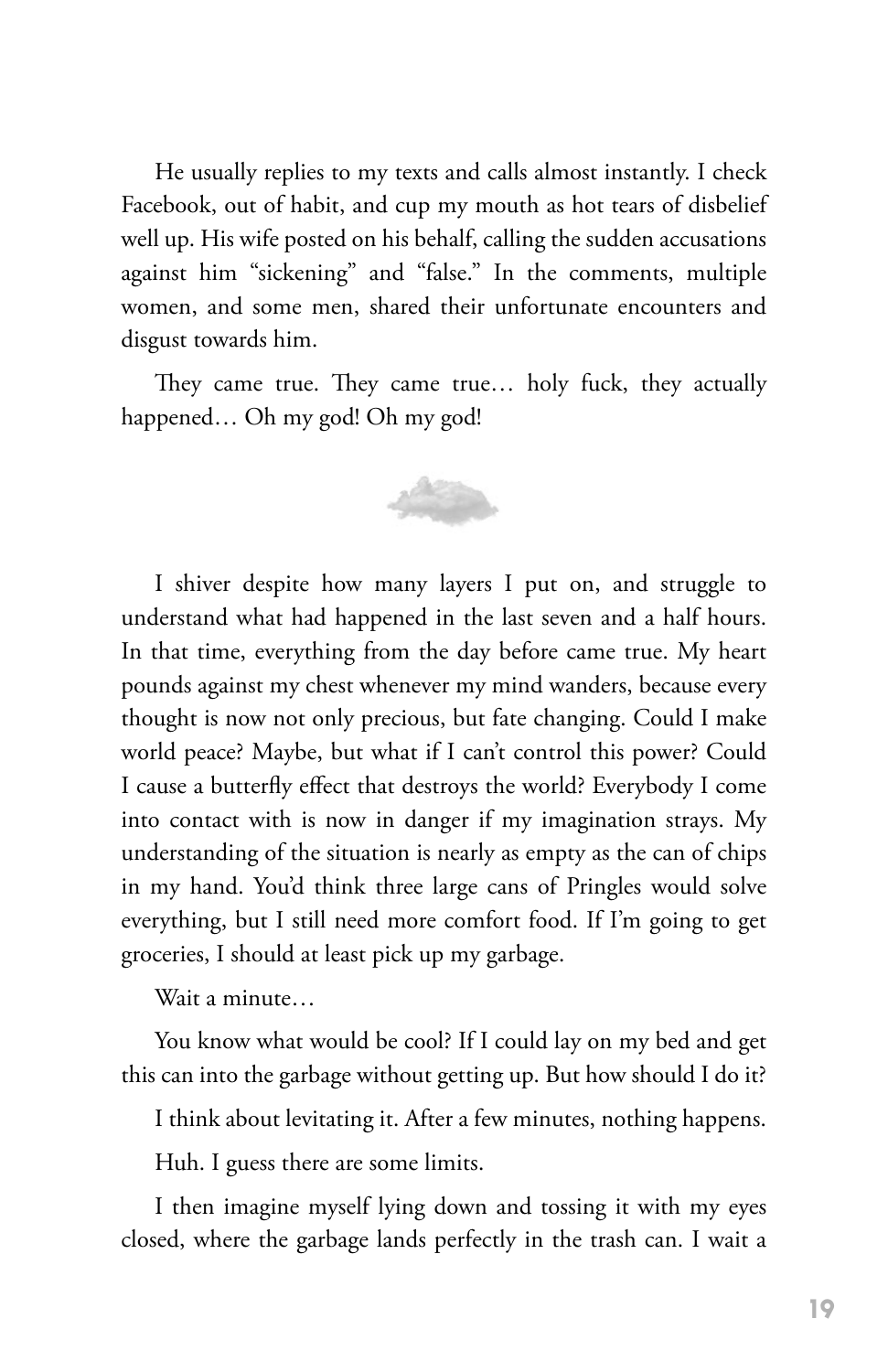He usually replies to my texts and calls almost instantly. I check Facebook, out of habit, and cup my mouth as hot tears of disbelief well up. His wife posted on his behalf, calling the sudden accusations against him "sickening" and "false." In the comments, multiple women, and some men, shared their unfortunate encounters and disgust towards him.

They came true. They came true… holy fuck, they actually happened… Oh my god! Oh my god!



I shiver despite how many layers I put on, and struggle to understand what had happened in the last seven and a half hours. In that time, everything from the day before came true. My heart pounds against my chest whenever my mind wanders, because every thought is now not only precious, but fate changing. Could I make world peace? Maybe, but what if I can't control this power? Could I cause a butterfly effect that destroys the world? Everybody I come into contact with is now in danger if my imagination strays. My understanding of the situation is nearly as empty as the can of chips in my hand. You'd think three large cans of Pringles would solve everything, but I still need more comfort food. If I'm going to get groceries, I should at least pick up my garbage.

Wait a minute…

You know what would be cool? If I could lay on my bed and get this can into the garbage without getting up. But how should I do it?

I think about levitating it. After a few minutes, nothing happens.

Huh. I guess there are some limits.

I then imagine myself lying down and tossing it with my eyes closed, where the garbage lands perfectly in the trash can. I wait a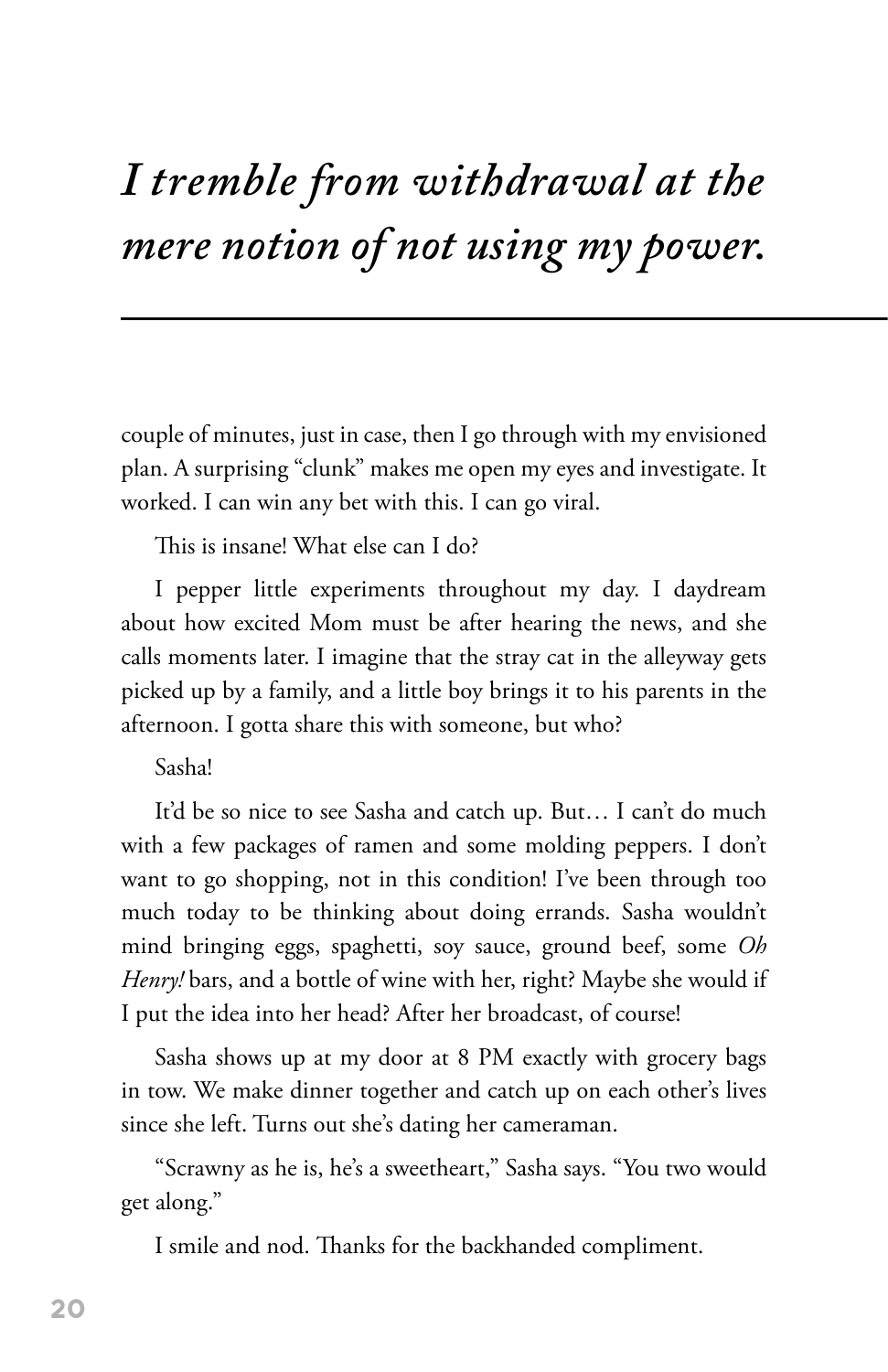## *I tremble from withdrawal at the mere notion of not using my power.*

couple of minutes, just in case, then I go through with my envisioned plan. A surprising "clunk" makes me open my eyes and investigate. It worked. I can win any bet with this. I can go viral.

This is insane! What else can I do?

I pepper little experiments throughout my day. I daydream about how excited Mom must be after hearing the news, and she calls moments later. I imagine that the stray cat in the alleyway gets picked up by a family, and a little boy brings it to his parents in the afternoon. I gotta share this with someone, but who?

## Sasha!

It'd be so nice to see Sasha and catch up. But… I can't do much with a few packages of ramen and some molding peppers. I don't want to go shopping, not in this condition! I've been through too much today to be thinking about doing errands. Sasha wouldn't mind bringing eggs, spaghetti, soy sauce, ground beef, some *Oh Henry!* bars, and a bottle of wine with her, right? Maybe she would if I put the idea into her head? After her broadcast, of course!

Sasha shows up at my door at 8 PM exactly with grocery bags in tow. We make dinner together and catch up on each other's lives since she left. Turns out she's dating her cameraman.

"Scrawny as he is, he's a sweetheart," Sasha says. "You two would get along."

I smile and nod. Thanks for the backhanded compliment.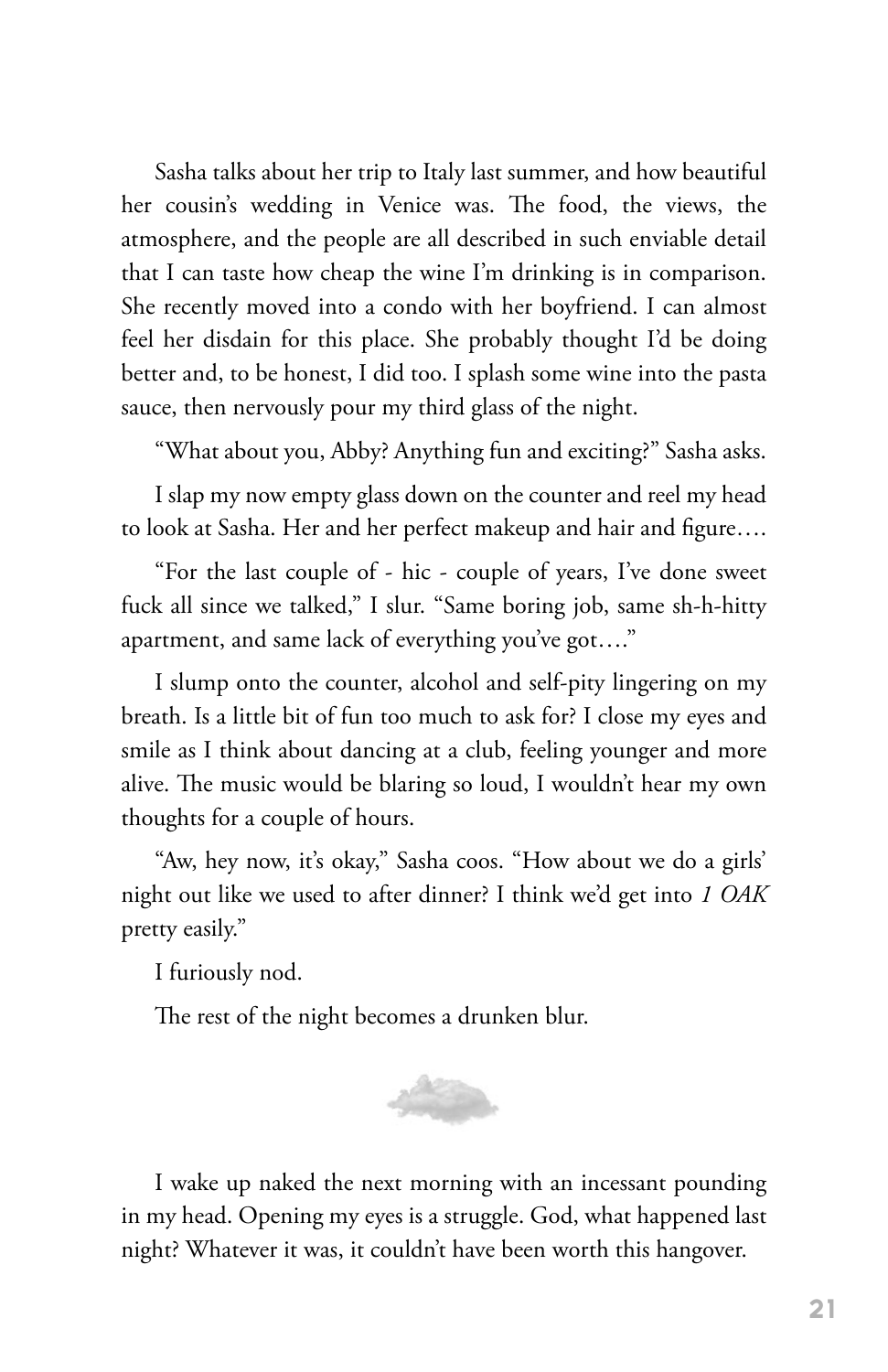Sasha talks about her trip to Italy last summer, and how beautiful her cousin's wedding in Venice was. The food, the views, the atmosphere, and the people are all described in such enviable detail that I can taste how cheap the wine I'm drinking is in comparison. She recently moved into a condo with her boyfriend. I can almost feel her disdain for this place. She probably thought I'd be doing better and, to be honest, I did too. I splash some wine into the pasta sauce, then nervously pour my third glass of the night.

"What about you, Abby? Anything fun and exciting?" Sasha asks.

I slap my now empty glass down on the counter and reel my head to look at Sasha. Her and her perfect makeup and hair and figure….

"For the last couple of - hic - couple of years, I've done sweet fuck all since we talked," I slur. "Same boring job, same sh-h-hitty apartment, and same lack of everything you've got…."

I slump onto the counter, alcohol and self-pity lingering on my breath. Is a little bit of fun too much to ask for? I close my eyes and smile as I think about dancing at a club, feeling younger and more alive. The music would be blaring so loud, I wouldn't hear my own thoughts for a couple of hours.

"Aw, hey now, it's okay," Sasha coos. "How about we do a girls' night out like we used to after dinner? I think we'd get into *1 OAK*  pretty easily."

I furiously nod.

The rest of the night becomes a drunken blur.



I wake up naked the next morning with an incessant pounding in my head. Opening my eyes is a struggle. God, what happened last night? Whatever it was, it couldn't have been worth this hangover.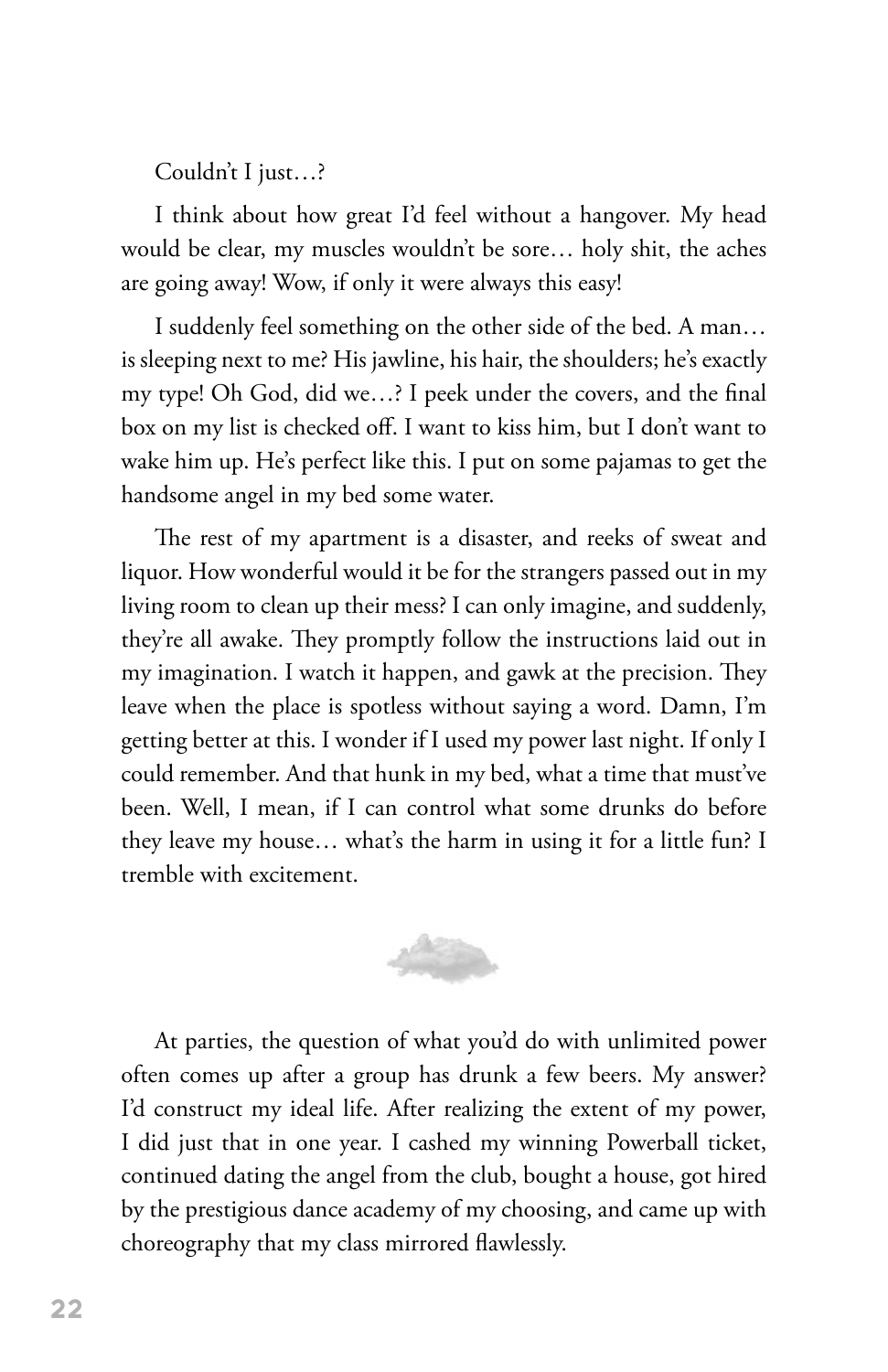Couldn't I just…?

I think about how great I'd feel without a hangover. My head would be clear, my muscles wouldn't be sore… holy shit, the aches are going away! Wow, if only it were always this easy!

I suddenly feel something on the other side of the bed. A man… is sleeping next to me? His jawline, his hair, the shoulders; he's exactly my type! Oh God, did we…? I peek under the covers, and the final box on my list is checked off. I want to kiss him, but I don't want to wake him up. He's perfect like this. I put on some pajamas to get the handsome angel in my bed some water.

The rest of my apartment is a disaster, and reeks of sweat and liquor. How wonderful would it be for the strangers passed out in my living room to clean up their mess? I can only imagine, and suddenly, they're all awake. They promptly follow the instructions laid out in my imagination. I watch it happen, and gawk at the precision. They leave when the place is spotless without saying a word. Damn, I'm getting better at this. I wonder if I used my power last night. If only I could remember. And that hunk in my bed, what a time that must've been. Well, I mean, if I can control what some drunks do before they leave my house… what's the harm in using it for a little fun? I tremble with excitement.



At parties, the question of what you'd do with unlimited power often comes up after a group has drunk a few beers. My answer? I'd construct my ideal life. After realizing the extent of my power, I did just that in one year. I cashed my winning Powerball ticket, continued dating the angel from the club, bought a house, got hired by the prestigious dance academy of my choosing, and came up with choreography that my class mirrored flawlessly.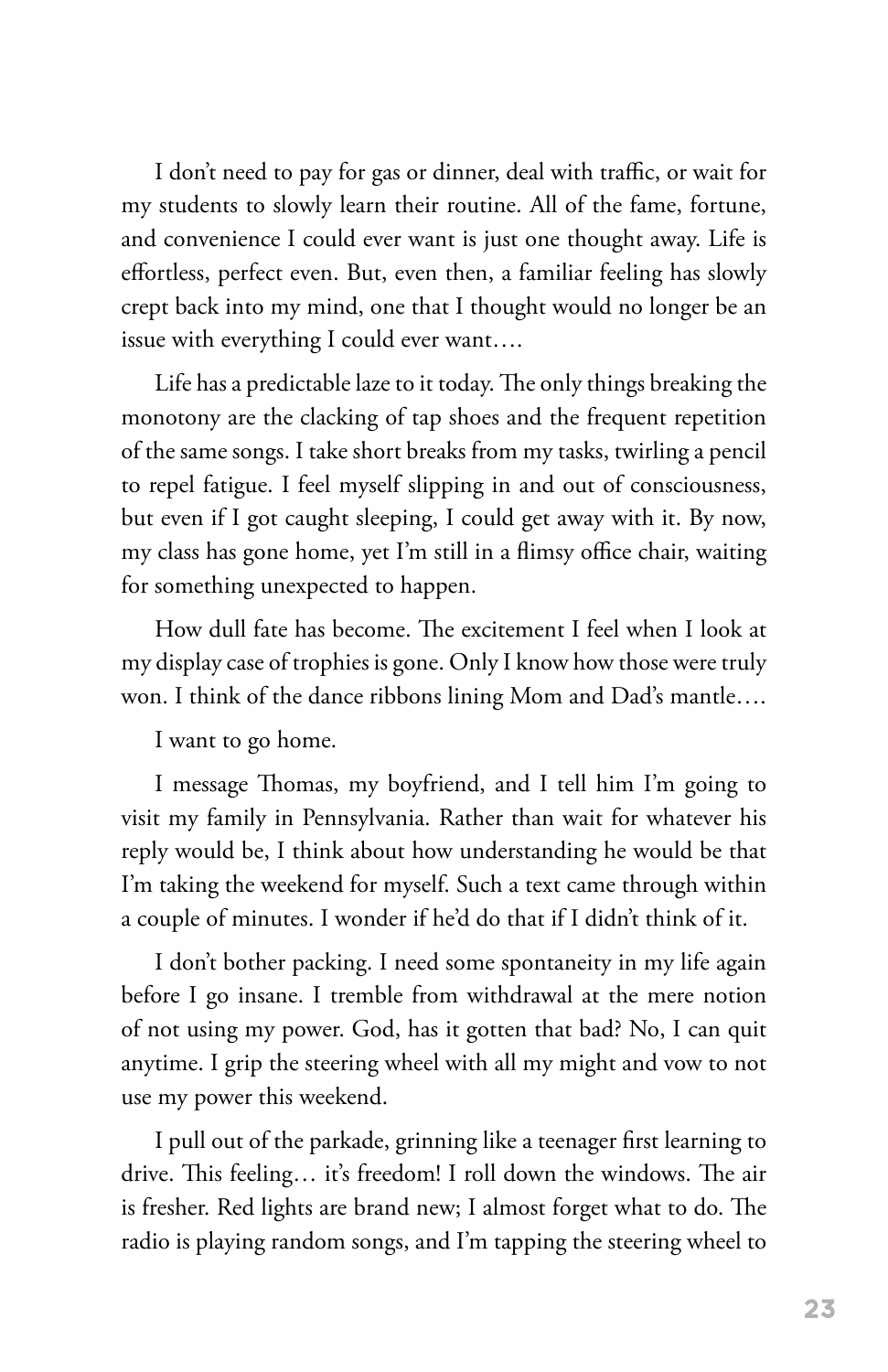I don't need to pay for gas or dinner, deal with traffic, or wait for my students to slowly learn their routine. All of the fame, fortune, and convenience I could ever want is just one thought away. Life is effortless, perfect even. But, even then, a familiar feeling has slowly crept back into my mind, one that I thought would no longer be an issue with everything I could ever want….

Life has a predictable laze to it today. The only things breaking the monotony are the clacking of tap shoes and the frequent repetition of the same songs. I take short breaks from my tasks, twirling a pencil to repel fatigue. I feel myself slipping in and out of consciousness, but even if I got caught sleeping, I could get away with it. By now, my class has gone home, yet I'm still in a flimsy office chair, waiting for something unexpected to happen.

How dull fate has become. The excitement I feel when I look at my display case of trophies is gone. Only I know how those were truly won. I think of the dance ribbons lining Mom and Dad's mantle….

I want to go home.

I message Thomas, my boyfriend, and I tell him I'm going to visit my family in Pennsylvania. Rather than wait for whatever his reply would be, I think about how understanding he would be that I'm taking the weekend for myself. Such a text came through within a couple of minutes. I wonder if he'd do that if I didn't think of it.

I don't bother packing. I need some spontaneity in my life again before I go insane. I tremble from withdrawal at the mere notion of not using my power. God, has it gotten that bad? No, I can quit anytime. I grip the steering wheel with all my might and vow to not use my power this weekend.

I pull out of the parkade, grinning like a teenager first learning to drive. This feeling… it's freedom! I roll down the windows. The air is fresher. Red lights are brand new; I almost forget what to do. The radio is playing random songs, and I'm tapping the steering wheel to